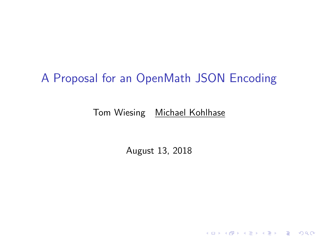### A Proposal for an OpenMath JSON Encoding

#### Tom Wiesing Michael Kohlhase

August 13, 2018

K □ ▶ K @ ▶ K 할 ▶ K 할 ▶ 이 할 → 9 Q @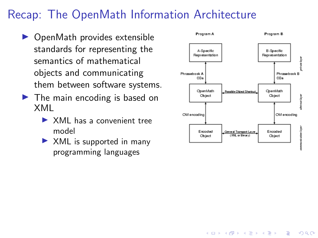## Recap: The OpenMath Information Architecture

- $\triangleright$  OpenMath provides extensible standards for representing the semantics of mathematical objects and communicating them between software systems.
- $\blacktriangleright$  The main encoding is based on XML
	- $\triangleright$  XML has a convenient tree model
	- $\triangleright$  XML is supported in many programming languages



**KORK EXTERNE PROVIDE**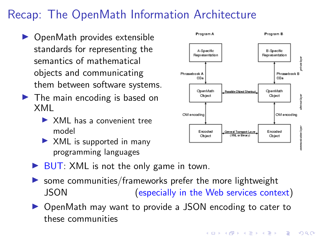## Recap: The OpenMath Information Architecture

- $\triangleright$  OpenMath provides extensible standards for representing the semantics of mathematical objects and communicating them between software systems.
- $\blacktriangleright$  The main encoding is based on XML
	- $\triangleright$  XML has a convenient tree model
	- $\triangleright$  XML is supported in many programming languages
	- $\triangleright$  BUT: XML is not the only game in town.
	- some communities/frameworks prefer the more lightweight JSON (especially in the Web services context)
	- ▶ OpenMath may want to provide a JSON encoding to cater to these communities



**KORK EXTERNE PROVIDE**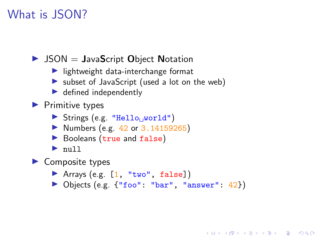#### What is JSON?

 $\triangleright$  JSON = JavaScript Object Notation

- $\blacktriangleright$  lightweight data-interchange format
- $\triangleright$  subset of JavaScript (used a lot on the web)
- $\blacktriangleright$  defined independently
- $\blacktriangleright$  Primitive types
	- Strings (e.g. "Hello $_{\cup}$ world")
	- $\triangleright$  Numbers (e.g. 42 or 3.14159265)
	- Booleans (true and false)
	- $\blacktriangleright$  null

 $\blacktriangleright$  Composite types

- $\blacktriangleright$  Arrays (e.g.  $[1, "two", false]$ )
- ▶ Objects (e.g. {"foo": "bar", "answer": 42})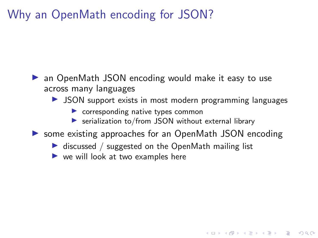### Why an OpenMath encoding for JSON?

- $\triangleright$  an OpenMath JSON encoding would make it easy to use across many languages
	- $\triangleright$  JSON support exists in most modern programming languages

- $\triangleright$  corresponding native types common
- $\triangleright$  serialization to/from JSON without external library
- ▶ some existing approaches for an OpenMath JSON encoding
	- $\triangleright$  discussed / suggested on the OpenMath mailing list
	- $\triangleright$  we will look at two examples here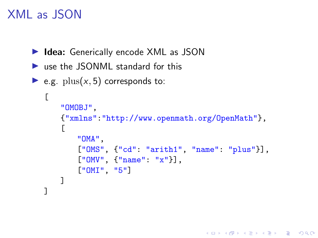### XML as JSON

```
▶ Idea: Generically encode XML as JSON
```

```
\triangleright use the JSONML standard for this
```

```
• e.g. plus(x, 5) corresponds to:
```

```
\sqrt{2}"OMOBJ",
    {"xmlns":"http://www.openmath.org/OpenMath"},
    \lceil"OMA",
        ["OMS", {"cd": "arith1", "name": "plus"}],
        ["OMV", {"name": "x"}],
        ["OMI", "5"]
    ]
]
```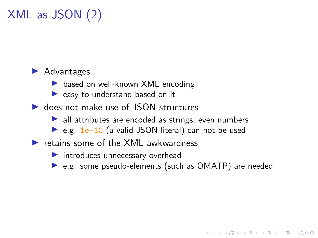# XML as JSON (2)

#### $\blacktriangleright$  Advantages

- $\triangleright$  based on well-known XML encoding
- $\blacktriangleright$  easy to understand based on it
- $\triangleright$  does not make use of JSON structures
	- $\blacktriangleright$  all attributes are encoded as strings, even numbers
	- $\triangleright$  e.g. 1e-10 (a valid JSON literal) can not be used
- $\blacktriangleright$  retains some of the XML awkwardness
	- $\blacktriangleright$  introduces unnecessary overhead
	- $\triangleright$  e.g. some pseudo-elements (such as OMATP) are needed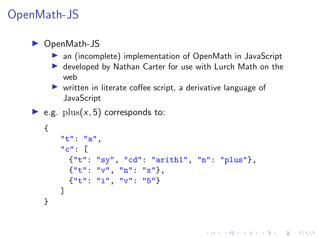## OpenMath-JS

#### $\triangleright$  OpenMath-JS

- $\triangleright$  an (incomplete) implementation of OpenMath in JavaScript
- ▶ developed by Nathan Carter for use with Lurch Math on the web
- $\triangleright$  written in literate coffee script, a derivative language of **JavaScript**

```
• e.g. plus(x, 5) corresponds to:
```

```
{
    "t": "a",
    "c": [
      {"t": "sy", "cd": "arith1", "n": "plus"},
      {\lbrack}''t'''.''v''',''n'''.''x''},{"t": "i", "v": "5"}
    ]
}
```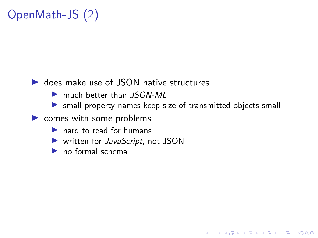# OpenMath-JS (2)

#### $\triangleright$  does make use of JSON native structures

- **Imuch better than JSON-ML**
- $\triangleright$  small property names keep size of transmitted objects small

- $\triangleright$  comes with some problems
	- $\blacktriangleright$  hard to read for humans
	- $\blacktriangleright$  written for *JavaScript*, not JSON
	- $\blacktriangleright$  no formal schema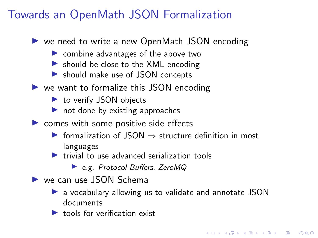### Towards an OpenMath JSON Formalization

- $\triangleright$  we need to write a new OpenMath JSON encoding
	- $\triangleright$  combine advantages of the above two
	- $\triangleright$  should be close to the XML encoding
	- **In should make use of JSON concepts**
- $\triangleright$  we want to formalize this JSON encoding
	- $\blacktriangleright$  to verify JSON objects
	- $\blacktriangleright$  not done by existing approaches
- $\triangleright$  comes with some positive side effects
	- $\triangleright$  formalization of ISON  $\Rightarrow$  structure definition in most languages
	- $\blacktriangleright$  trivial to use advanced serialization tools
		- ▶ e.g. Protocol Buffers, ZeroMQ
- $\blacktriangleright$  we can use JSON Schema
	- $\triangleright$  a vocabulary allowing us to validate and annotate JSON documents

**KORKARYKERKER POLO** 

 $\blacktriangleright$  tools for verification exist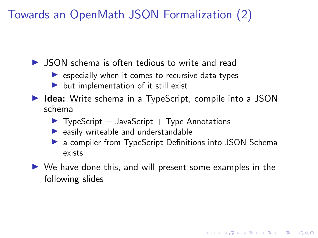Towards an OpenMath JSON Formalization (2)

 $\triangleright$  JSON schema is often tedious to write and read

- $\triangleright$  especially when it comes to recursive data types
- $\triangleright$  but implementation of it still exist
- $\triangleright$  Idea: Write schema in a TypeScript, compile into a JSON schema
	- $\blacktriangleright$  TypeScript = JavaScript + Type Annotations
	- $\blacktriangleright$  easily writeable and understandable
	- **D** a compiler from TypeScript Definitions into JSON Schema exists

**KORKARYKERKER POLO** 

 $\triangleright$  We have done this, and will present some examples in the following slides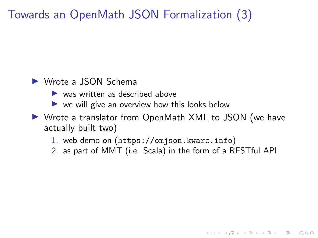## Towards an OpenMath JSON Formalization (3)

#### ▶ Wrote a JSON Schema

- $\blacktriangleright$  was written as described above
- $\triangleright$  we will give an overview how this looks below
- ▶ Wrote a translator from OpenMath XML to JSON (we have actually built two)
	- 1. web demo on (<https://omjson.kwarc.info>)
	- 2. as part of MMT (i.e. Scala) in the form of a RESTful API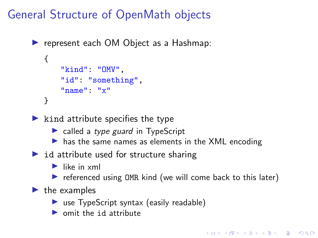## General Structure of OpenMath objects

```
\triangleright represent each OM Object as a Hashmap:
   {
       "kind": "OMV",
       "id": "something",
       "name": "x"
   }
```
- $\blacktriangleright$  kind attribute specifies the type
	- $\triangleright$  called a type guard in TypeScript
	- $\triangleright$  has the same names as elements in the XML encoding
- $\triangleright$  id attribute used for structure sharing
	- $\blacktriangleright$  like in xml
	- $\triangleright$  referenced using OMR kind (we will come back to this later)

#### $\blacktriangleright$  the examples

- $\triangleright$  use TypeScript syntax (easily readable)
- $\triangleright$  omit the id attribute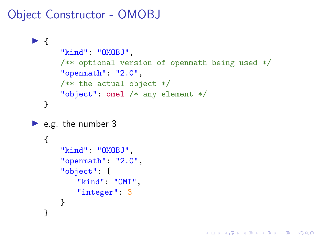### Object Constructor - OMOBJ

```
\blacktriangleright {
       "kind": "OMOBJ",
       /** optional version of openmath being used */
       "openmath": "2.0",
       /** the actual object */
       "object": omel /* any element */
   }
\blacktriangleright e.g. the number 3
   {
       "kind": "OMOBJ",
       "openmath": "2.0",
       "object": {
            "kind": "OMI",
            "integer": 3
       }
   }
```
K ロ ▶ K 個 ▶ K 할 ▶ K 할 ▶ 이 할 → 9 Q Q →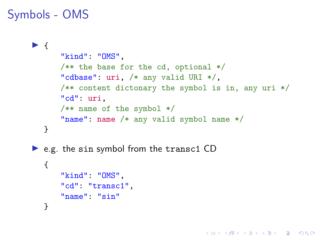### Symbols - OMS

```
\blacktriangleright {
       "kind": "OMS",
       /** the base for the cd, optional */"cdbase": uri, /* any valid URI */,
       /** content dictonary the symbol is in, any uri */"cd": uri,
       /** name of the symbol */
       "name": name /* any valid symbol name */
  }
\triangleright e.g. the sin symbol from the transc1 CD
  {
       "kind": "OMS",
       "cd": "transc1",
       "name": "sin"
  }
```
**KORK ERKER ADAM ADA**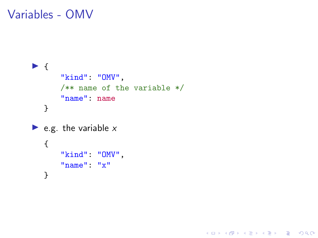Variables - OMV

```
\blacktriangleright {
       "kind": "OMV",
       /** name of the variable */
       "name": name
   }
e.g. the variable x{
       "kind": "OMV",
       "name": "x"
   }
```
K ロ ▶ K 個 ▶ K 할 ▶ K 할 ▶ 이 할 → 9 Q Q →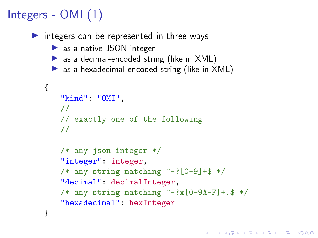# Integers - OMI (1)

 $\triangleright$  integers can be represented in three ways

- $\triangleright$  as a native JSON integer
- $\triangleright$  as a decimal-encoded string (like in XML)
- $\triangleright$  as a hexadecimal-encoded string (like in XML)

```
{
   "kind": "OMI",
    //
   // exactly one of the following
   //
    /* any json integer */
    "integer": integer,
    /* any string matching \hat{(-)}?[0-9]+$ */
    "decimal": decimalInteger,
    /* any string matching ^{\sim}-?x[0-9A-F]+.$ */
    "hexadecimal": hexInteger
}
```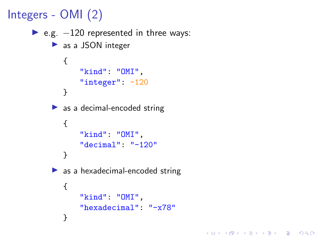```
Integers - OMI (2)
       \triangleright e.g. -120 represented in three ways:
             \blacktriangleright as a JSON integer
                {
                     "kind": "OMI",
                     "integer": -120
                }
             \triangleright as a decimal-encoded string
                {
                     "kind": "OMI",
                     "decimal": "-120"
                }
             \blacktriangleright as a hexadecimal-encoded string
                {
                     "kind": "OMI",
                     "hexadecimal": "-x78"
                }
```
K ロ ▶ K 個 ▶ K 결 ▶ K 결 ▶ │ 결 │ K 9 Q Q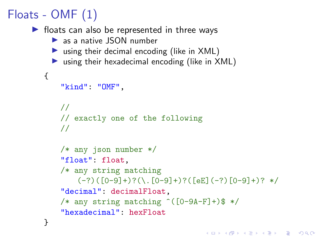# Floats - OMF (1)

```
\blacktriangleright floats can also be represented in three ways
     \blacktriangleright as a native JSON number
     \triangleright using their decimal encoding (like in XML)
     \triangleright using their hexadecimal encoding (like in XML)
   {
        "kind": "OMF",
       //
       // exactly one of the following
        //
        /* any json number */
        "float": float,
        /* any string matching
            (-?)([0-9]+)?(\ . [0-9]+)?([eE](-?) [0-9]+)? */
        "decimal": decimalFloat,
        /* any string matching \hat{(-9A-F]}+\hat{)} */
        "hexadecimal": hexFloat
   }
```

```
KORKARYKERKER POLO
```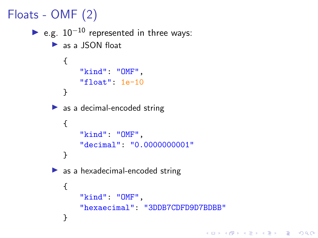```
Floats - OMF (2)
       \triangleright e.g. 10<sup>-10</sup> represented in three ways:
             \blacktriangleright as a JSON float
                 {
                      "kind": "OMF",
                      "float": 1e-10
                }
             \triangleright as a decimal-encoded string
                 {
                      "kind": "OMF",
                      "decimal": "0.0000000001"
                }
             \blacktriangleright as a hexadecimal-encoded string
                 {
                      "kind": "OMF",
                      "hexaecimal": "3DDB7CDFD9D7BDBB"
                 }
```
K ロ ▶ K 個 ▶ K 결 ▶ K 결 ▶ │ 결 │ K 9 Q Q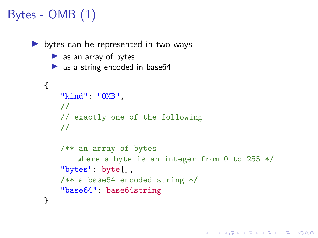# Bytes - OMB (1)

```
\triangleright bytes can be represented in two ways
     \blacktriangleright as an array of bytes
     \triangleright as a string encoded in base64
   {
       "kind": "OMB",
       //
       // exactly one of the following
       //
       /** an array of bytes
            where a byte is an integer from 0 to 255 */"bytes": byte[],
       /** a base64 encoded string */
       "base64": base64string
   }
```
**KORK ERKER ADA DI VOLO**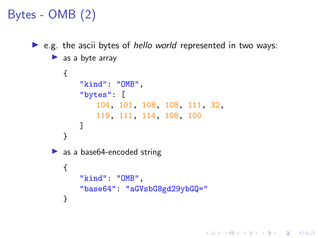# Bytes - OMB (2)

```
\triangleright e.g. the ascii bytes of hello world represented in two ways:
     \blacktriangleright as a byte array
         {
             "kind": "OMB",
             "bytes": [
                  104, 101, 108, 108, 111, 32,
                  119, 111, 114, 108, 100
             ]
        }
     \triangleright as a base 64-encoded string
         {
             "kind": "OMB",
             "base64": "aGVsbG8gd29ybGQ="
         }
```
**KORK EXTERNE PROVIDE**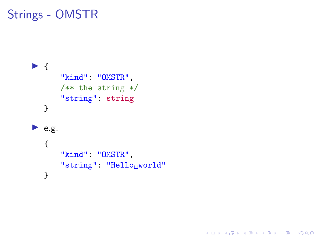## Strings - OMSTR

```
\blacktriangleright {
        "kind": "OMSTR",
        /** the string */
        "string": string
   }
\blacktriangleright e.g.
   {
        "kind": "OMSTR",
        "string": "Helloworld"
   }
```
K ロ ▶ K 個 ▶ K 할 ▶ K 할 ▶ 이 할 → 9 Q Q →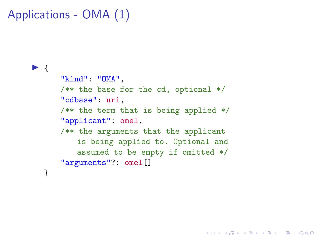```
Applications - OMA (1)
```
#### $\blacktriangleright$  {

}

```
"kind": "OMA",
/** the base for the cd, optional */"cdbase": uri,
/** the term that is being applied */"applicant": omel,
/** the arguments that the applicant
   is being applied to. Optional and
   assumed to be empty if omitted */
"arguments"?: omel[]
```
**KORK ERKER ADA DI VOLO**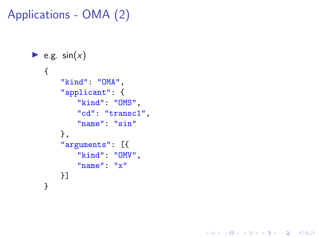```
Applications - OMA (2)
```

```
• e.g. sin(x){
      "kind": "OMA",
      "applicant": {
          "kind": "OMS",
          "cd": "transc1",
          "name": "sin"
      },
      "arguments": [{
          "kind": "OMV",
          "name": "x"
      }]
  }
```
K ロ ▶ K 個 ▶ K 결 ▶ K 결 ▶ │ 결 │ K 9 Q Q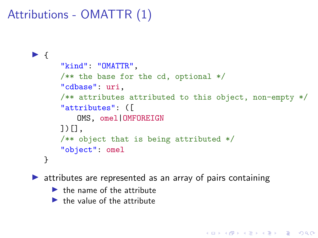Attributions - OMATTR (1)

```
\blacktriangleright {
       "kind": "OMATTR",
       /** the base for the cd, optional */"cdbase": uri,
       /** attributes attributed to this object, non-empty */
       "attributes": ([
           OMS, omel|OMFOREIGN
       \bigcup \bigcap.
       /** object that is being attributed */
       "object": omel
   }
```
**KORKARYKERKER POLO** 

 $\blacktriangleright$  attributes are represented as an array of pairs containing

- $\blacktriangleright$  the name of the attribute
- $\blacktriangleright$  the value of the attribute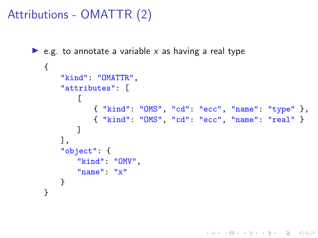Attributions - OMATTR (2)

```
\triangleright e.g. to annotate a variable x as having a real type
  {
       "kind": "OMATTR",
       "attributes": [
           \Gamma{ "kind": "OMS", "cd": "ecc", "name": "type" },
               { "kind": "OMS", "cd": "ecc", "name": "real" }
           ]
       ],
       "object": {
           "kind": "OMV",
           "name": "x"
      }
  }
```
K ロ ▶ K 個 ▶ K 할 ▶ K 할 ▶ ( 할 → ) 익 Q Q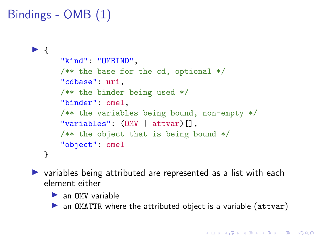```
Bindings - OMB (1)
```

```
\blacktriangleright {
      "kind": "OMBIND",
      /** the base for the cd, optional */
      "cdbase": uri,
      /** the binder being used */
      "binder": omel,
      /** the variables being bound, non-empty */
      "variables": (OMV | attvar)[],
      /** the object that is being bound */"object": omel
  }
```
 $\triangleright$  variables being attributed are represented as a list with each element either

 $\blacktriangleright$  an OMV variable

 $\triangleright$  an OMATTR where the attributed object is a variable (attvar)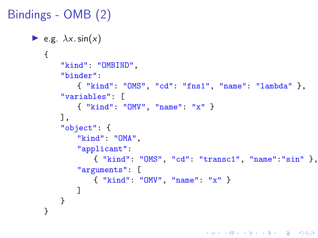```
Bindings - OMB (2)
     \blacktriangleright e.g. \lambda x \cdot \sin(x){
             "kind": "OMBIND",
             "binder":
                 { "kind": "OMS", "cd": "fns1", "name": "lambda" },
             "variables": [
                { "kind": "OMV", "name": "x" }
             ],
             "object": {
                 "kind": "OMA",
                 "applicant":
                     { "kind": "OMS", "cd": "transc1", "name":"sin" },
                 "arguments": [
                     { "kind": "OMV", "name": "x" }
                 ]
            }
        }
```
**KORK ERKER ADA DI VOLO**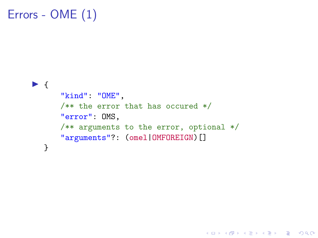## Errors - OME (1)

#### $\blacktriangleright$  { "kind": "OME", /\*\* the error that has occured \*/ "error": OMS, /\*\* arguments to the error, optional \*/ "arguments"?: (omel|OMFOREIGN)[] }

K ロ ▶ K 個 ▶ K 결 ▶ K 결 ▶ │ 결 │ K 9 Q Q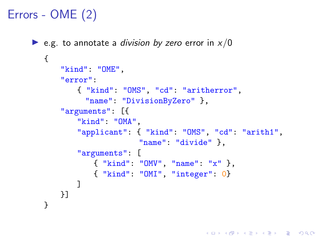## Errors - OME (2)

```
e.g. to annotate a division by zero error in x/0{
      "kind": "OME",
      "error":
          { "kind": "OMS", "cd": "aritherror",
            "name": "DivisionByZero" },
      "arguments": [{
          "kind": "OMA",
          "applicant": { "kind": "OMS", "cd": "arith1",
                        "name": "divide" },
          "arguments": [
             { "kind": "OMV", "name": "x" },
             { "kind": "OMI", "integer": 0}
          ]
      }]
  }
```
**KORK ERKER ADA DI VOLO**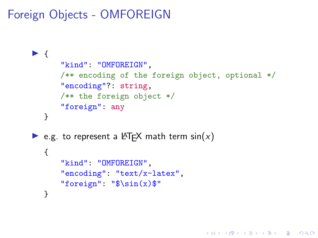Foreign Objects - OMFOREIGN

```
\blacktriangleright {
       "kind": "OMFOREIGN",
       /** encoding of the foreign object, optional */
       "encoding"?: string,
       /** the foreign object */
       "foreign": any
   }
E.g. to represent a LATEX math term sin(x)
   {
       "kind": "OMFOREIGN",
       "encoding": "text/x-latex",
       "foreign": "\$\sin(x)$"
   }
```
K ロ ▶ K 個 ▶ K 할 ▶ K 할 ▶ 이 할 → 이익 @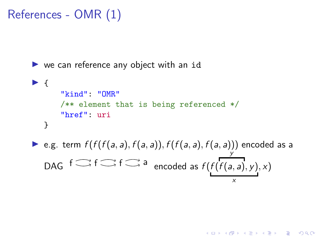### References - OMR (1)

```
\triangleright we can reference any object with an id
\blacktriangleright {
       "kind": "OMR"
        /** element that is being referenced */
        "href": uri
   }
▶ e.g. term f(f(f(a, a), f(a, a)), f(f(a, a), f(a, a))) encoded as a
   DAG f \mathbb{C} f \mathbb{C} a encoded as f(f)y
                                                     f(a, a), y), xx
```
**KORK EXTERNE PROVIDE**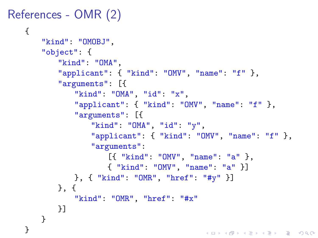```
References - OMR (2)
```

```
{
   "kind": "OMOBJ",
   "object": {
       "kind": "OMA",
       "applicant": { "kind": "OMV", "name": "f" },
       "arguments": [{
           "kind": "OMA", "id": "x",
           "applicant": { "kind": "OMV", "name": "f" },
           "arguments": [{
               "kind": "OMA", "id": "y",
               "applicant": { "kind": "OMV", "name": "f" },
               "arguments":
                  [{ "kind": "OMV", "name": "a" },
                  { "kind": "OMV", "name": "a" }]
           }, { "kind": "OMR", "href": "#y" }]
       }, {
           "kind": "OMR", "href": "#x"
       }]
   }
}
```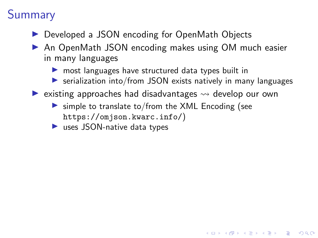## **Summary**

- ▶ Developed a JSON encoding for OpenMath Objects
- ▶ An OpenMath JSON encoding makes using OM much easier in many languages
	- $\triangleright$  most languages have structured data types built in
	- $\triangleright$  serialization into/from JSON exists natively in many languages

**KORK ERKER ADAM ADA** 

- $\blacktriangleright$  existing approaches had disadvantages  $\rightsquigarrow$  develop our own
	- $\triangleright$  simple to translate to/from the XML Encoding (see <https://omjson.kwarc.info/>)
	- $\blacktriangleright$  uses JSON-native data types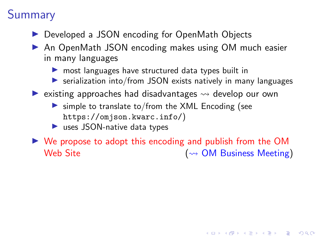## Summary

- ▶ Developed a JSON encoding for OpenMath Objects
- ▶ An OpenMath JSON encoding makes using OM much easier in many languages
	- $\triangleright$  most languages have structured data types built in
	- $\triangleright$  serialization into/from JSON exists natively in many languages
- $\blacktriangleright$  existing approaches had disadvantages  $\rightsquigarrow$  develop our own
	- $\triangleright$  simple to translate to/from the XML Encoding (see <https://omjson.kwarc.info/>)
	- $\blacktriangleright$  uses JSON-native data types

 $\triangleright$  We propose to adopt this encoding and publish from the OM Web Site ( OM Business Meeting)

4 0 > 4 4 + 4 = + 4 = + = + + 0 4 0 +